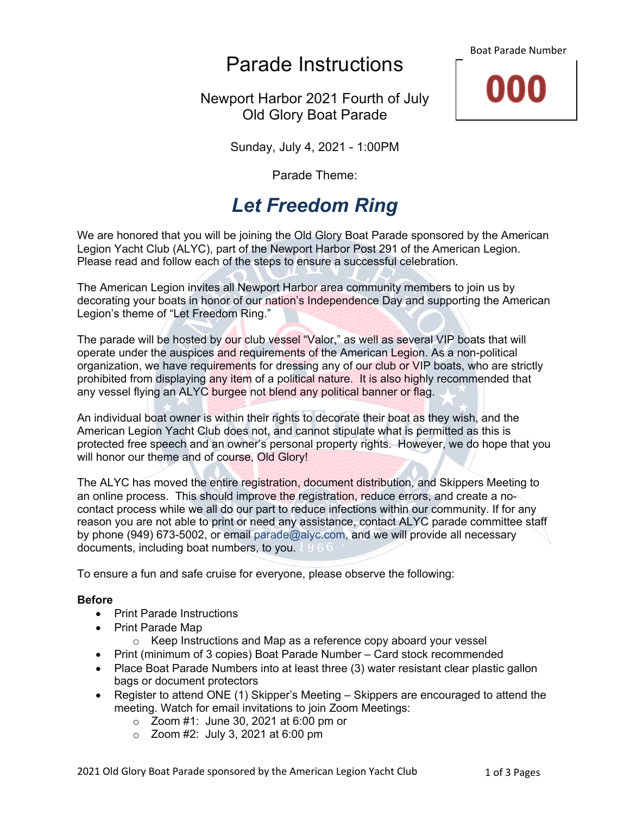Parade Instructions

Newport Harbor 2021 Fourth of July Old Glory Boat Parade





Sunday, July 4, 2021 - 1:00PM

Parade Theme:

# *Let Freedom Ring*

We are honored that you will be joining the Old Glory Boat Parade sponsored by the American Legion Yacht Club (ALYC), part of the Newport Harbor Post 291 of the American Legion. Please read and follow each of the steps to ensure a successful celebration.

The American Legion invites all Newport Harbor area community members to join us by decorating your boats in honor of our nation's Independence Day and supporting the American Legion's theme of "Let Freedom Ring."

The parade will be hosted by our club vessel "Valor," as well as several VIP boats that will operate under the auspices and requirements of the American Legion. As a non-political organization, we have requirements for dressing any of our club or VIP boats, who are strictly prohibited from displaying any item of a political nature. It is also highly recommended that any vessel flying an ALYC burgee not blend any political banner or flag.

An individual boat owner is within their rights to decorate their boat as they wish, and the American Legion Yacht Club does not, and cannot stipulate what is permitted as this is protected free speech and an owner's personal property rights. However, we do hope that you will honor our theme and of course, Old Glory!

The ALYC has moved the entire registration, document distribution, and Skippers Meeting to an online process. This should improve the registration, reduce errors, and create a nocontact process while we all do our part to reduce infections within our community. If for any reason you are not able to print or need any assistance, contact ALYC parade committee staff by phone (949) 673-5002, or email parade@alyc.com, and we will provide all necessary documents, including boat numbers, to you. 196

To ensure a fun and safe cruise for everyone, please observe the following:

## **Before**

- Print Parade Instructions
- Print Parade Map
	- o Keep Instructions and Map as a reference copy aboard your vessel
- Print (minimum of 3 copies) Boat Parade Number Card stock recommended
- Place Boat Parade Numbers into at least three (3) water resistant clear plastic gallon bags or document protectors
- Register to attend ONE (1) Skipper's Meeting Skippers are encouraged to attend the meeting. Watch for email invitations to join Zoom Meetings:
	- o Zoom #1: June 30, 2021 at 6:00 pm or
	- o Zoom #2: July 3, 2021 at 6:00 pm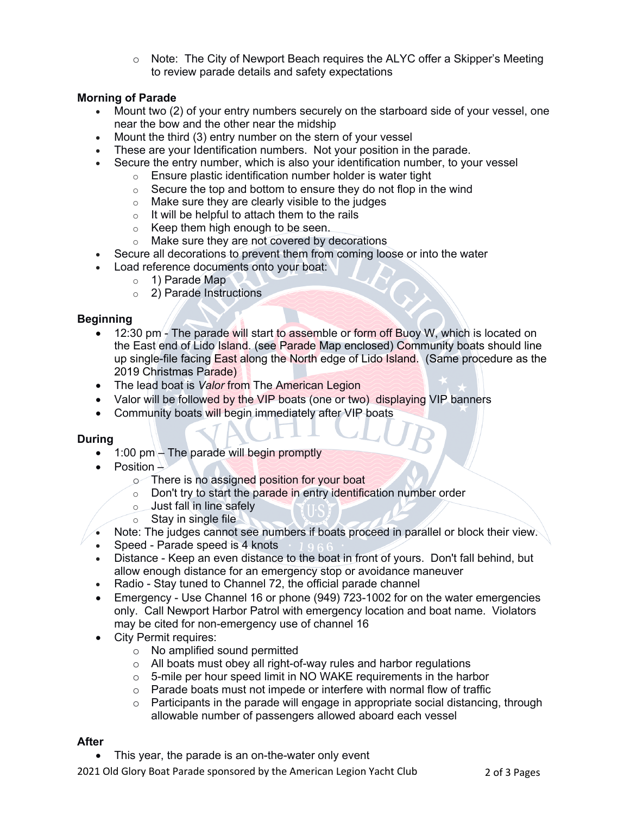$\circ$  Note: The City of Newport Beach requires the ALYC offer a Skipper's Meeting to review parade details and safety expectations

# **Morning of Parade**

- Mount two (2) of your entry numbers securely on the starboard side of your vessel, one near the bow and the other near the midship
- Mount the third (3) entry number on the stern of your vessel
- These are your Identification numbers. Not your position in the parade.
- Secure the entry number, which is also your identification number, to your vessel
	- o Ensure plastic identification number holder is water tight
	- $\circ$  Secure the top and bottom to ensure they do not flop in the wind
	- $\circ$  Make sure they are clearly visible to the judges
	- $\circ$  It will be helpful to attach them to the rails
	- o Keep them high enough to be seen.
	- o Make sure they are not covered by decorations
- Secure all decorations to prevent them from coming loose or into the water
- Load reference documents onto your boat:
	- o 1) Parade Map
	- o 2) Parade Instructions

## **Beginning**

- 12:30 pm The parade will start to assemble or form off Buoy W, which is located on the East end of Lido Island. (see Parade Map enclosed) Community boats should line up single-file facing East along the North edge of Lido Island. (Same procedure as the 2019 Christmas Parade)
- The lead boat is *Valor* from The American Legion
- Valor will be followed by the VIP boats (one or two) displaying VIP banners
- Community boats will begin immediately after VIP boats

#### **During**

- $\bullet$  1:00 pm The parade will begin promptly
- Position  $\perp$ 
	- o There is no assigned position for your boat
	- o Don't try to start the parade in entry identification number order
	- o Just fall in line safely
	- $\circ$  Stay in single file
- Note: The judges cannot see numbers if boats proceed in parallel or block their view.
- Speed Parade speed is 4 knots
- Distance Keep an even distance to the boat in front of yours. Don't fall behind, but allow enough distance for an emergency stop or avoidance maneuver
- Radio Stay tuned to Channel 72, the official parade channel
- Emergency Use Channel 16 or phone (949) 723-1002 for on the water emergencies only. Call Newport Harbor Patrol with emergency location and boat name. Violators may be cited for non-emergency use of channel 16
- City Permit requires:
	- o No amplified sound permitted
	- o All boats must obey all right-of-way rules and harbor regulations
	- o 5-mile per hour speed limit in NO WAKE requirements in the harbor
	- $\circ$  Parade boats must not impede or interfere with normal flow of traffic
	- $\circ$  Participants in the parade will engage in appropriate social distancing, through allowable number of passengers allowed aboard each vessel

#### **After**

This year, the parade is an on-the-water only event

2021 Old Glory Boat Parade sponsored by the American Legion Yacht Club 2 of 3 Pages